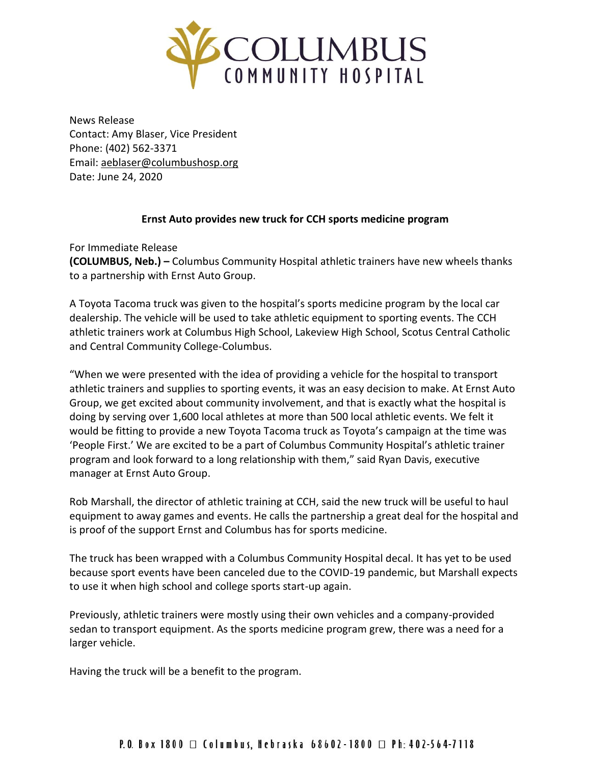

News Release Contact: Amy Blaser, Vice President Phone: (402) 562-3371 Email: [aeblaser@columbushosp.org](mailto:aeblaser@columbushosp.org) Date: June 24, 2020

## **Ernst Auto provides new truck for CCH sports medicine program**

For Immediate Release **(COLUMBUS, Neb.) –** Columbus Community Hospital athletic trainers have new wheels thanks to a partnership with Ernst Auto Group.

A Toyota Tacoma truck was given to the hospital's sports medicine program by the local car dealership. The vehicle will be used to take athletic equipment to sporting events. The CCH athletic trainers work at Columbus High School, Lakeview High School, Scotus Central Catholic and Central Community College-Columbus.

"When we were presented with the idea of providing a vehicle for the hospital to transport athletic trainers and supplies to sporting events, it was an easy decision to make. At Ernst Auto Group, we get excited about community involvement, and that is exactly what the hospital is doing by serving over 1,600 local athletes at more than 500 local athletic events. We felt it would be fitting to provide a new Toyota Tacoma truck as Toyota's campaign at the time was 'People First.' We are excited to be a part of Columbus Community Hospital's athletic trainer program and look forward to a long relationship with them," said Ryan Davis, executive manager at Ernst Auto Group.

Rob Marshall, the director of athletic training at CCH, said the new truck will be useful to haul equipment to away games and events. He calls the partnership a great deal for the hospital and is proof of the support Ernst and Columbus has for sports medicine.

The truck has been wrapped with a Columbus Community Hospital decal. It has yet to be used because sport events have been canceled due to the COVID-19 pandemic, but Marshall expects to use it when high school and college sports start-up again.

Previously, athletic trainers were mostly using their own vehicles and a company-provided sedan to transport equipment. As the sports medicine program grew, there was a need for a larger vehicle.

Having the truck will be a benefit to the program.